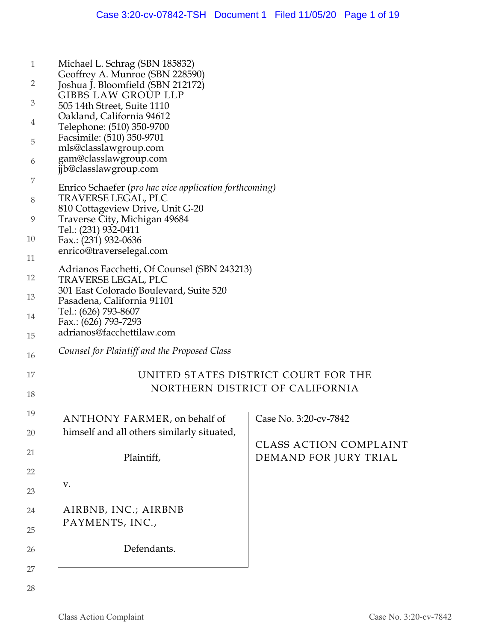| $\overline{2}$<br>Joshua J. Bloomfield (SBN 212172)<br><b>GIBBS LAW GROUP LLP</b><br>3<br>505 14th Street, Suite 1110<br>Oakland, California 94612<br>4<br>Telephone: (510) 350-9700<br>Facsimile: (510) 350-9701<br>5<br>mls@classlawgroup.com<br>gam@classlawgroup.com<br>6<br>jjb@classlawgroup.com<br>7<br>Enrico Schaefer (pro hac vice application forthcoming)<br>TRAVERSE LEGAL, PLC<br>8<br>810 Cottageview Drive, Unit G-20<br>Traverse City, Michigan 49684<br>9<br>Tel.: (231) 932-0411<br>10<br>Fax.: (231) 932-0636<br>enrico@traverselegal.com<br>11<br>Adrianos Facchetti, Of Counsel (SBN 243213)<br>12<br>TRAVERSE LEGAL, PLC<br>301 East Colorado Boulevard, Suite 520<br>13<br>Pasadena, California 91101<br>Tel.: (626) 793-8607<br>14<br>Fax.: (626) 793-7293<br>adrianos@facchettilaw.com<br>15<br>Counsel for Plaintiff and the Proposed Class<br>16<br>UNITED STATES DISTRICT COURT FOR THE<br>17<br>NORTHERN DISTRICT OF CALIFORNIA<br>18<br>19<br>ANTHONY FARMER, on behalf of<br>Case No. 3:20-cv-7842<br>himself and all others similarly situated,<br>20<br><b>CLASS ACTION COMPLAINT</b><br>21<br>Plaintiff,<br>DEMAND FOR JURY TRIAL<br>22<br>V.<br>23<br>AIRBNB, INC.; AIRBNB<br>24<br>PAYMENTS, INC.,<br>25<br>Defendants.<br>26<br>27 | $\mathbf{1}$ | Michael L. Schrag (SBN 185832)  |  |
|--------------------------------------------------------------------------------------------------------------------------------------------------------------------------------------------------------------------------------------------------------------------------------------------------------------------------------------------------------------------------------------------------------------------------------------------------------------------------------------------------------------------------------------------------------------------------------------------------------------------------------------------------------------------------------------------------------------------------------------------------------------------------------------------------------------------------------------------------------------------------------------------------------------------------------------------------------------------------------------------------------------------------------------------------------------------------------------------------------------------------------------------------------------------------------------------------------------------------------------------------------------------------|--------------|---------------------------------|--|
|                                                                                                                                                                                                                                                                                                                                                                                                                                                                                                                                                                                                                                                                                                                                                                                                                                                                                                                                                                                                                                                                                                                                                                                                                                                                          |              | Geoffrey A. Munroe (SBN 228590) |  |
|                                                                                                                                                                                                                                                                                                                                                                                                                                                                                                                                                                                                                                                                                                                                                                                                                                                                                                                                                                                                                                                                                                                                                                                                                                                                          |              |                                 |  |
|                                                                                                                                                                                                                                                                                                                                                                                                                                                                                                                                                                                                                                                                                                                                                                                                                                                                                                                                                                                                                                                                                                                                                                                                                                                                          |              |                                 |  |
|                                                                                                                                                                                                                                                                                                                                                                                                                                                                                                                                                                                                                                                                                                                                                                                                                                                                                                                                                                                                                                                                                                                                                                                                                                                                          |              |                                 |  |
|                                                                                                                                                                                                                                                                                                                                                                                                                                                                                                                                                                                                                                                                                                                                                                                                                                                                                                                                                                                                                                                                                                                                                                                                                                                                          |              |                                 |  |
|                                                                                                                                                                                                                                                                                                                                                                                                                                                                                                                                                                                                                                                                                                                                                                                                                                                                                                                                                                                                                                                                                                                                                                                                                                                                          |              |                                 |  |
|                                                                                                                                                                                                                                                                                                                                                                                                                                                                                                                                                                                                                                                                                                                                                                                                                                                                                                                                                                                                                                                                                                                                                                                                                                                                          |              |                                 |  |
|                                                                                                                                                                                                                                                                                                                                                                                                                                                                                                                                                                                                                                                                                                                                                                                                                                                                                                                                                                                                                                                                                                                                                                                                                                                                          |              |                                 |  |
|                                                                                                                                                                                                                                                                                                                                                                                                                                                                                                                                                                                                                                                                                                                                                                                                                                                                                                                                                                                                                                                                                                                                                                                                                                                                          |              |                                 |  |
|                                                                                                                                                                                                                                                                                                                                                                                                                                                                                                                                                                                                                                                                                                                                                                                                                                                                                                                                                                                                                                                                                                                                                                                                                                                                          |              |                                 |  |
|                                                                                                                                                                                                                                                                                                                                                                                                                                                                                                                                                                                                                                                                                                                                                                                                                                                                                                                                                                                                                                                                                                                                                                                                                                                                          |              |                                 |  |
|                                                                                                                                                                                                                                                                                                                                                                                                                                                                                                                                                                                                                                                                                                                                                                                                                                                                                                                                                                                                                                                                                                                                                                                                                                                                          |              |                                 |  |
|                                                                                                                                                                                                                                                                                                                                                                                                                                                                                                                                                                                                                                                                                                                                                                                                                                                                                                                                                                                                                                                                                                                                                                                                                                                                          |              |                                 |  |
|                                                                                                                                                                                                                                                                                                                                                                                                                                                                                                                                                                                                                                                                                                                                                                                                                                                                                                                                                                                                                                                                                                                                                                                                                                                                          |              |                                 |  |
|                                                                                                                                                                                                                                                                                                                                                                                                                                                                                                                                                                                                                                                                                                                                                                                                                                                                                                                                                                                                                                                                                                                                                                                                                                                                          |              |                                 |  |
|                                                                                                                                                                                                                                                                                                                                                                                                                                                                                                                                                                                                                                                                                                                                                                                                                                                                                                                                                                                                                                                                                                                                                                                                                                                                          |              |                                 |  |
|                                                                                                                                                                                                                                                                                                                                                                                                                                                                                                                                                                                                                                                                                                                                                                                                                                                                                                                                                                                                                                                                                                                                                                                                                                                                          |              |                                 |  |
|                                                                                                                                                                                                                                                                                                                                                                                                                                                                                                                                                                                                                                                                                                                                                                                                                                                                                                                                                                                                                                                                                                                                                                                                                                                                          |              |                                 |  |
|                                                                                                                                                                                                                                                                                                                                                                                                                                                                                                                                                                                                                                                                                                                                                                                                                                                                                                                                                                                                                                                                                                                                                                                                                                                                          |              |                                 |  |
|                                                                                                                                                                                                                                                                                                                                                                                                                                                                                                                                                                                                                                                                                                                                                                                                                                                                                                                                                                                                                                                                                                                                                                                                                                                                          |              |                                 |  |
|                                                                                                                                                                                                                                                                                                                                                                                                                                                                                                                                                                                                                                                                                                                                                                                                                                                                                                                                                                                                                                                                                                                                                                                                                                                                          |              |                                 |  |
|                                                                                                                                                                                                                                                                                                                                                                                                                                                                                                                                                                                                                                                                                                                                                                                                                                                                                                                                                                                                                                                                                                                                                                                                                                                                          |              |                                 |  |
|                                                                                                                                                                                                                                                                                                                                                                                                                                                                                                                                                                                                                                                                                                                                                                                                                                                                                                                                                                                                                                                                                                                                                                                                                                                                          |              |                                 |  |
|                                                                                                                                                                                                                                                                                                                                                                                                                                                                                                                                                                                                                                                                                                                                                                                                                                                                                                                                                                                                                                                                                                                                                                                                                                                                          |              |                                 |  |
|                                                                                                                                                                                                                                                                                                                                                                                                                                                                                                                                                                                                                                                                                                                                                                                                                                                                                                                                                                                                                                                                                                                                                                                                                                                                          |              |                                 |  |
|                                                                                                                                                                                                                                                                                                                                                                                                                                                                                                                                                                                                                                                                                                                                                                                                                                                                                                                                                                                                                                                                                                                                                                                                                                                                          |              |                                 |  |
|                                                                                                                                                                                                                                                                                                                                                                                                                                                                                                                                                                                                                                                                                                                                                                                                                                                                                                                                                                                                                                                                                                                                                                                                                                                                          |              |                                 |  |
|                                                                                                                                                                                                                                                                                                                                                                                                                                                                                                                                                                                                                                                                                                                                                                                                                                                                                                                                                                                                                                                                                                                                                                                                                                                                          |              |                                 |  |
|                                                                                                                                                                                                                                                                                                                                                                                                                                                                                                                                                                                                                                                                                                                                                                                                                                                                                                                                                                                                                                                                                                                                                                                                                                                                          |              |                                 |  |
|                                                                                                                                                                                                                                                                                                                                                                                                                                                                                                                                                                                                                                                                                                                                                                                                                                                                                                                                                                                                                                                                                                                                                                                                                                                                          |              |                                 |  |
|                                                                                                                                                                                                                                                                                                                                                                                                                                                                                                                                                                                                                                                                                                                                                                                                                                                                                                                                                                                                                                                                                                                                                                                                                                                                          |              |                                 |  |
|                                                                                                                                                                                                                                                                                                                                                                                                                                                                                                                                                                                                                                                                                                                                                                                                                                                                                                                                                                                                                                                                                                                                                                                                                                                                          |              |                                 |  |
|                                                                                                                                                                                                                                                                                                                                                                                                                                                                                                                                                                                                                                                                                                                                                                                                                                                                                                                                                                                                                                                                                                                                                                                                                                                                          |              |                                 |  |
|                                                                                                                                                                                                                                                                                                                                                                                                                                                                                                                                                                                                                                                                                                                                                                                                                                                                                                                                                                                                                                                                                                                                                                                                                                                                          |              |                                 |  |
|                                                                                                                                                                                                                                                                                                                                                                                                                                                                                                                                                                                                                                                                                                                                                                                                                                                                                                                                                                                                                                                                                                                                                                                                                                                                          |              |                                 |  |
|                                                                                                                                                                                                                                                                                                                                                                                                                                                                                                                                                                                                                                                                                                                                                                                                                                                                                                                                                                                                                                                                                                                                                                                                                                                                          |              |                                 |  |
|                                                                                                                                                                                                                                                                                                                                                                                                                                                                                                                                                                                                                                                                                                                                                                                                                                                                                                                                                                                                                                                                                                                                                                                                                                                                          |              |                                 |  |
|                                                                                                                                                                                                                                                                                                                                                                                                                                                                                                                                                                                                                                                                                                                                                                                                                                                                                                                                                                                                                                                                                                                                                                                                                                                                          |              |                                 |  |
|                                                                                                                                                                                                                                                                                                                                                                                                                                                                                                                                                                                                                                                                                                                                                                                                                                                                                                                                                                                                                                                                                                                                                                                                                                                                          |              |                                 |  |
|                                                                                                                                                                                                                                                                                                                                                                                                                                                                                                                                                                                                                                                                                                                                                                                                                                                                                                                                                                                                                                                                                                                                                                                                                                                                          |              |                                 |  |
|                                                                                                                                                                                                                                                                                                                                                                                                                                                                                                                                                                                                                                                                                                                                                                                                                                                                                                                                                                                                                                                                                                                                                                                                                                                                          |              |                                 |  |
|                                                                                                                                                                                                                                                                                                                                                                                                                                                                                                                                                                                                                                                                                                                                                                                                                                                                                                                                                                                                                                                                                                                                                                                                                                                                          |              |                                 |  |
|                                                                                                                                                                                                                                                                                                                                                                                                                                                                                                                                                                                                                                                                                                                                                                                                                                                                                                                                                                                                                                                                                                                                                                                                                                                                          |              |                                 |  |
|                                                                                                                                                                                                                                                                                                                                                                                                                                                                                                                                                                                                                                                                                                                                                                                                                                                                                                                                                                                                                                                                                                                                                                                                                                                                          |              |                                 |  |
|                                                                                                                                                                                                                                                                                                                                                                                                                                                                                                                                                                                                                                                                                                                                                                                                                                                                                                                                                                                                                                                                                                                                                                                                                                                                          |              |                                 |  |
|                                                                                                                                                                                                                                                                                                                                                                                                                                                                                                                                                                                                                                                                                                                                                                                                                                                                                                                                                                                                                                                                                                                                                                                                                                                                          |              |                                 |  |
|                                                                                                                                                                                                                                                                                                                                                                                                                                                                                                                                                                                                                                                                                                                                                                                                                                                                                                                                                                                                                                                                                                                                                                                                                                                                          |              |                                 |  |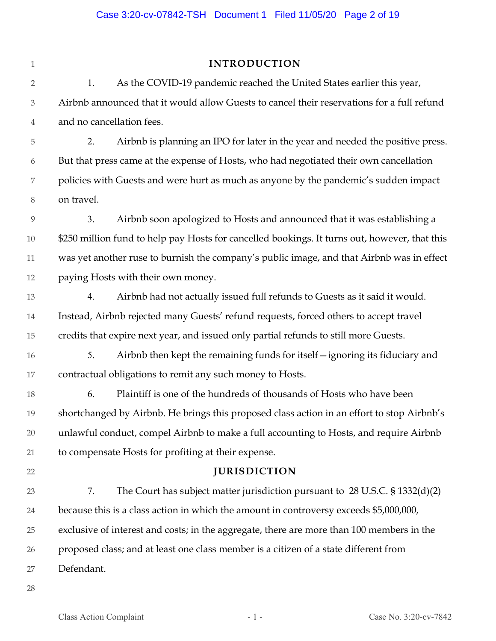| 1                | <b>INTRODUCTION</b>                                                                           |
|------------------|-----------------------------------------------------------------------------------------------|
| $\overline{2}$   | As the COVID-19 pandemic reached the United States earlier this year,<br>1.                   |
| $\mathfrak{Z}$   | Airbnb announced that it would allow Guests to cancel their reservations for a full refund    |
| 4                | and no cancellation fees.                                                                     |
| 5                | Airbnb is planning an IPO for later in the year and needed the positive press.<br>2.          |
| $\boldsymbol{6}$ | But that press came at the expense of Hosts, who had negotiated their own cancellation        |
| 7                | policies with Guests and were hurt as much as anyone by the pandemic's sudden impact          |
| $8\,$            | on travel.                                                                                    |
| 9                | Airbnb soon apologized to Hosts and announced that it was establishing a<br>3.                |
| $10\,$           | \$250 million fund to help pay Hosts for cancelled bookings. It turns out, however, that this |
| 11               | was yet another ruse to burnish the company's public image, and that Airbnb was in effect     |
| 12               | paying Hosts with their own money.                                                            |
| 13               | Airbnb had not actually issued full refunds to Guests as it said it would.<br>4.              |
| 14               | Instead, Airbnb rejected many Guests' refund requests, forced others to accept travel         |
| 15               | credits that expire next year, and issued only partial refunds to still more Guests.          |
| 16               | Airbnb then kept the remaining funds for itself-ignoring its fiduciary and<br>5.              |
| 17               | contractual obligations to remit any such money to Hosts.                                     |
| 18               | Plaintiff is one of the hundreds of thousands of Hosts who have been<br>6.                    |
| 19               | shortchanged by Airbnb. He brings this proposed class action in an effort to stop Airbnb's    |
| $20\,$           | unlawful conduct, compel Airbnb to make a full accounting to Hosts, and require Airbnb        |
| 21               | to compensate Hosts for profiting at their expense.                                           |
| 22               | <b>JURISDICTION</b>                                                                           |
| 23               | 7.<br>The Court has subject matter jurisdiction pursuant to $28$ U.S.C. $\S 1332(d)(2)$       |
| 24               | because this is a class action in which the amount in controversy exceeds \$5,000,000,        |
| 25               | exclusive of interest and costs; in the aggregate, there are more than 100 members in the     |
| 26               | proposed class; and at least one class member is a citizen of a state different from          |
| 27               | Defendant.                                                                                    |
| 28               |                                                                                               |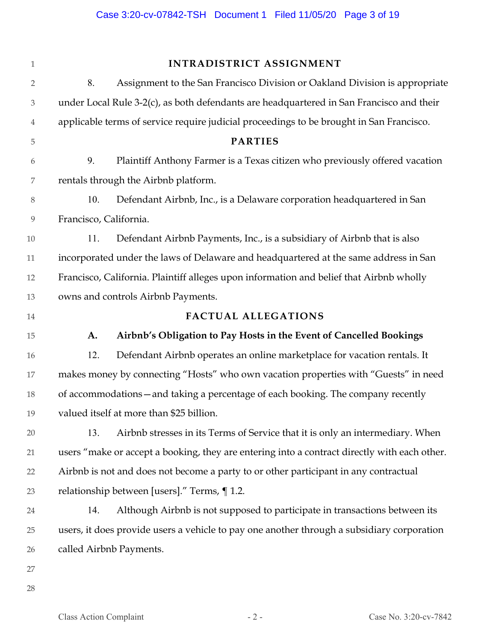| $\mathbf{1}$     |                        | <b>INTRADISTRICT ASSIGNMENT</b>                                                              |
|------------------|------------------------|----------------------------------------------------------------------------------------------|
| $\overline{2}$   | 8.                     | Assignment to the San Francisco Division or Oakland Division is appropriate                  |
| $\mathfrak 3$    |                        | under Local Rule 3-2(c), as both defendants are headquartered in San Francisco and their     |
| $\overline{4}$   |                        | applicable terms of service require judicial proceedings to be brought in San Francisco.     |
| 5                |                        | <b>PARTIES</b>                                                                               |
| 6                | 9.                     | Plaintiff Anthony Farmer is a Texas citizen who previously offered vacation                  |
| 7                |                        | rentals through the Airbnb platform.                                                         |
| $8\,$            | 10.                    | Defendant Airbnb, Inc., is a Delaware corporation headquartered in San                       |
| $\boldsymbol{9}$ | Francisco, California. |                                                                                              |
| 10               | 11.                    | Defendant Airbnb Payments, Inc., is a subsidiary of Airbnb that is also                      |
| 11               |                        | incorporated under the laws of Delaware and headquartered at the same address in San         |
| 12               |                        | Francisco, California. Plaintiff alleges upon information and belief that Airbnb wholly      |
| 13               |                        | owns and controls Airbnb Payments.                                                           |
| 14               |                        | <b>FACTUAL ALLEGATIONS</b>                                                                   |
| 15               | A.                     | Airbnb's Obligation to Pay Hosts in the Event of Cancelled Bookings                          |
| 16               | 12.                    | Defendant Airbnb operates an online marketplace for vacation rentals. It                     |
| 17               |                        | makes money by connecting "Hosts" who own vacation properties with "Guests" in need          |
| 18               |                        | of accommodations - and taking a percentage of each booking. The company recently            |
| 19               |                        | valued itself at more than \$25 billion.                                                     |
| $20\,$           | 13.                    | Airbnb stresses in its Terms of Service that it is only an intermediary. When                |
| 21               |                        | users "make or accept a booking, they are entering into a contract directly with each other. |
| 22               |                        | Airbnb is not and does not become a party to or other participant in any contractual         |
| 23               |                        | relationship between [users]." Terms, ¶ 1.2.                                                 |
| 24               | 14.                    | Although Airbnb is not supposed to participate in transactions between its                   |
| 25               |                        | users, it does provide users a vehicle to pay one another through a subsidiary corporation   |
| 26               |                        | called Airbnb Payments.                                                                      |
| 27               |                        |                                                                                              |
| 28               |                        |                                                                                              |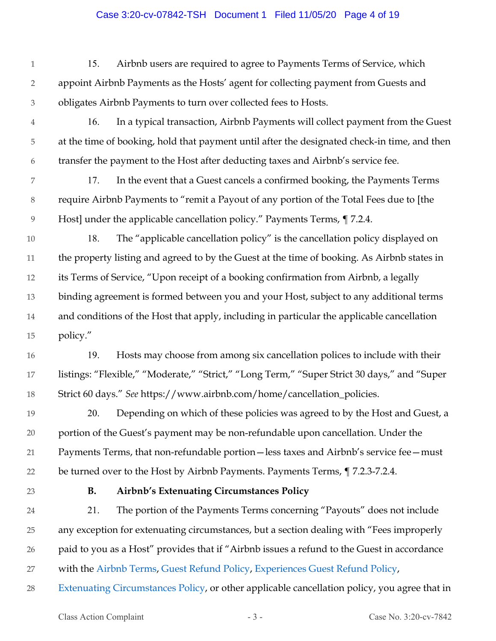#### Case 3:20-cv-07842-TSH Document 1 Filed 11/05/20 Page 4 of 19

1 2 3 15. Airbnb users are required to agree to Payments Terms of Service, which appoint Airbnb Payments as the Hosts' agent for collecting payment from Guests and obligates Airbnb Payments to turn over collected fees to Hosts.

4 5 6 16. In a typical transaction, Airbnb Payments will collect payment from the Guest at the time of booking, hold that payment until after the designated check-in time, and then transfer the payment to the Host after deducting taxes and Airbnb's service fee.

7 8 9 17. In the event that a Guest cancels a confirmed booking, the Payments Terms require Airbnb Payments to "remit a Payout of any portion of the Total Fees due to [the Host] under the applicable cancellation policy." Payments Terms, ¶ 7.2.4.

10 11 12 13 14 15 18. The "applicable cancellation policy" is the cancellation policy displayed on the property listing and agreed to by the Guest at the time of booking. As Airbnb states in its Terms of Service, "Upon receipt of a booking confirmation from Airbnb, a legally binding agreement is formed between you and your Host, subject to any additional terms and conditions of the Host that apply, including in particular the applicable cancellation policy."

16 17 18 19. Hosts may choose from among six cancellation polices to include with their listings: "Flexible," "Moderate," "Strict," "Long Term," "Super Strict 30 days," and "Super Strict 60 days." *See* https://www.airbnb.com/home/cancellation\_policies.

19 20 21 22 20. Depending on which of these policies was agreed to by the Host and Guest, a portion of the Guest's payment may be non-refundable upon cancellation. Under the Payments Terms, that non-refundable portion—less taxes and Airbnb's service fee—must be turned over to the Host by Airbnb Payments. Payments Terms, ¶ 7.2.3-7.2.4.

23

# **B. Airbnb's Extenuating Circumstances Policy**

24 25 26 27 21. The portion of the Payments Terms concerning "Payouts" does not include any exception for extenuating circumstances, but a section dealing with "Fees improperly paid to you as a Host" provides that if "Airbnb issues a refund to the Guest in accordance with the Airbnb Terms, Guest Refund Policy, Experiences Guest Refund Policy,

28 Extenuating Circumstances Policy, or other applicable cancellation policy, you agree that in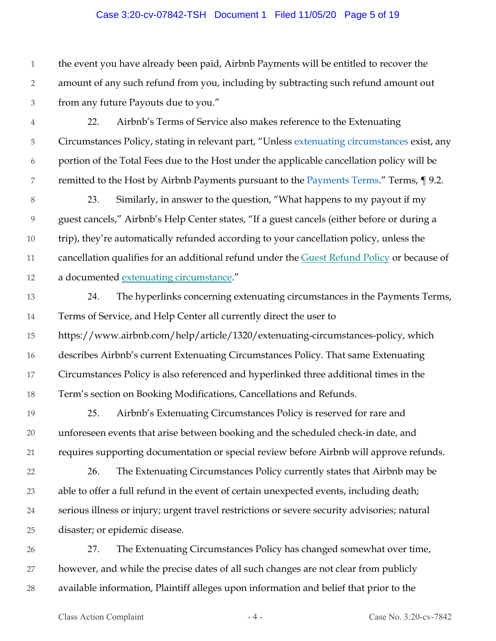#### Case 3:20-cv-07842-TSH Document 1 Filed 11/05/20 Page 5 of 19

1 2 3 the event you have already been paid, Airbnb Payments will be entitled to recover the amount of any such refund from you, including by subtracting such refund amount out from any future Payouts due to you."

- 4 5 6 7 22. Airbnb's Terms of Service also makes reference to the Extenuating Circumstances Policy, stating in relevant part, "Unless extenuating circumstances exist, any portion of the Total Fees due to the Host under the applicable cancellation policy will be remitted to the Host by Airbnb Payments pursuant to the Payments Terms." Terms, 19.2.
- 8 9 10 11 12 23. Similarly, in answer to the question, "What happens to my payout if my guest cancels," Airbnb's Help Center states, "If a guest cancels (either before or during a trip), they're automatically refunded according to your cancellation policy, unless the cancellation qualifies for an additional refund under the Guest Refund Policy or because of a documented extenuating circumstance."
- 13 14 24. The hyperlinks concerning extenuating circumstances in the Payments Terms, Terms of Service, and Help Center all currently direct the user to
- 15 16 17 18 https://www.airbnb.com/help/article/1320/extenuating-circumstances-policy, which describes Airbnb's current Extenuating Circumstances Policy. That same Extenuating Circumstances Policy is also referenced and hyperlinked three additional times in the Term's section on Booking Modifications, Cancellations and Refunds.
- 19 20 21 25. Airbnb's Extenuating Circumstances Policy is reserved for rare and unforeseen events that arise between booking and the scheduled check-in date, and requires supporting documentation or special review before Airbnb will approve refunds.
- 22 23 24 25 26. The Extenuating Circumstances Policy currently states that Airbnb may be able to offer a full refund in the event of certain unexpected events, including death; serious illness or injury; urgent travel restrictions or severe security advisories; natural disaster; or epidemic disease.
- 26 27 28 27. The Extenuating Circumstances Policy has changed somewhat over time, however, and while the precise dates of all such changes are not clear from publicly available information, Plaintiff alleges upon information and belief that prior to the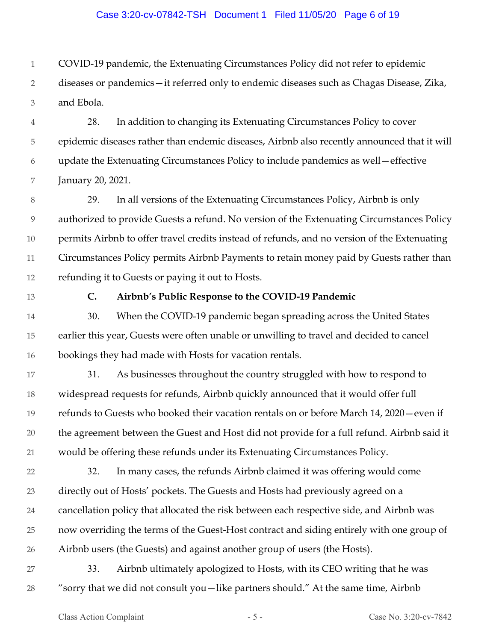#### Case 3:20-cv-07842-TSH Document 1 Filed 11/05/20 Page 6 of 19

1 COVID-19 pandemic, the Extenuating Circumstances Policy did not refer to epidemic

2 3 diseases or pandemics—it referred only to endemic diseases such as Chagas Disease, Zika, and Ebola.

4 5 6 7 28. In addition to changing its Extenuating Circumstances Policy to cover epidemic diseases rather than endemic diseases, Airbnb also recently announced that it will update the Extenuating Circumstances Policy to include pandemics as well—effective January 20, 2021.

8 9 10 11 12 29. In all versions of the Extenuating Circumstances Policy, Airbnb is only authorized to provide Guests a refund. No version of the Extenuating Circumstances Policy permits Airbnb to offer travel credits instead of refunds, and no version of the Extenuating Circumstances Policy permits Airbnb Payments to retain money paid by Guests rather than refunding it to Guests or paying it out to Hosts.

13

#### **C. Airbnb's Public Response to the COVID-19 Pandemic**

14 15 16 30. When the COVID-19 pandemic began spreading across the United States earlier this year, Guests were often unable or unwilling to travel and decided to cancel bookings they had made with Hosts for vacation rentals.

17 18 19 20 21 31. As businesses throughout the country struggled with how to respond to widespread requests for refunds, Airbnb quickly announced that it would offer full refunds to Guests who booked their vacation rentals on or before March 14, 2020—even if the agreement between the Guest and Host did not provide for a full refund. Airbnb said it would be offering these refunds under its Extenuating Circumstances Policy.

22 23 24 25 26 32. In many cases, the refunds Airbnb claimed it was offering would come directly out of Hosts' pockets. The Guests and Hosts had previously agreed on a cancellation policy that allocated the risk between each respective side, and Airbnb was now overriding the terms of the Guest-Host contract and siding entirely with one group of Airbnb users (the Guests) and against another group of users (the Hosts).

27 28 33. Airbnb ultimately apologized to Hosts, with its CEO writing that he was "sorry that we did not consult you—like partners should." At the same time, Airbnb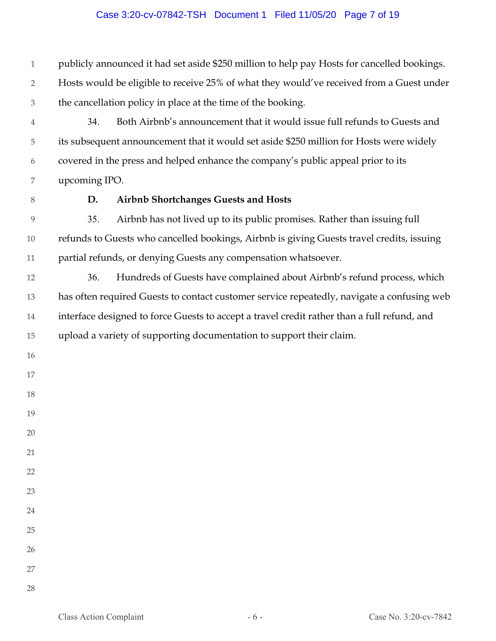#### Case 3:20-cv-07842-TSH Document 1 Filed 11/05/20 Page 7 of 19

 publicly announced it had set aside \$250 million to help pay Hosts for cancelled bookings. Hosts would be eligible to receive 25% of what they would've received from a Guest under the cancellation policy in place at the time of the booking.

 34. Both Airbnb's announcement that it would issue full refunds to Guests and its subsequent announcement that it would set aside \$250 million for Hosts were widely covered in the press and helped enhance the company's public appeal prior to its upcoming IPO.

## **D. Airbnb Shortchanges Guests and Hosts**

 35. Airbnb has not lived up to its public promises. Rather than issuing full refunds to Guests who cancelled bookings, Airbnb is giving Guests travel credits, issuing partial refunds, or denying Guests any compensation whatsoever.

 36. Hundreds of Guests have complained about Airbnb's refund process, which has often required Guests to contact customer service repeatedly, navigate a confusing web interface designed to force Guests to accept a travel credit rather than a full refund, and upload a variety of supporting documentation to support their claim.

- 
- 
- 

- 
- 
- 
- 
- 
- 
- 
- 
- 
-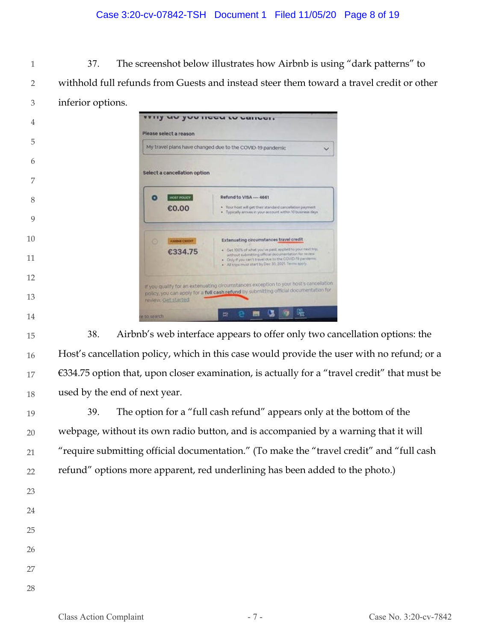## Case 3:20-cv-07842-TSH Document 1 Filed 11/05/20 Page 8 of 19

 37. The screenshot below illustrates how Airbnb is using "dark patterns" to withhold full refunds from Guests and instead steer them toward a travel credit or other inferior options.

| 4  |              | Please select a reason       | <b>THIS ART AND INCOMED CONTROLS</b>                                                                                                                                                                                                   |  |
|----|--------------|------------------------------|----------------------------------------------------------------------------------------------------------------------------------------------------------------------------------------------------------------------------------------|--|
| 5  |              |                              | My travel plans have changed due to the COVID-19 pandemic                                                                                                                                                                              |  |
| 6  |              |                              |                                                                                                                                                                                                                                        |  |
| 7  |              | Select a cancellation option |                                                                                                                                                                                                                                        |  |
| 8  | ۰            | <b>HOST POLICE</b>           | Refund to VISA ---- 4661                                                                                                                                                                                                               |  |
|    |              | €0.00                        | . Your host will get their standard cancelation payment.<br>· Typically arcives in your account within 10 business days                                                                                                                |  |
| 10 |              |                              |                                                                                                                                                                                                                                        |  |
|    | $\circ$      | <b>ANNING CERRIT</b>         | <b>Extenuating circumstances travel credit</b>                                                                                                                                                                                         |  |
|    |              | €334.75                      | . Get 100% of what you've paid, englied to your next trus.<br>without submitting official documentation for review.<br>. Only if you can't travel due to the COVID-19 pandema:<br>. All trips must start by Dec 30, 3021. Terms spoly. |  |
|    |              |                              |                                                                                                                                                                                                                                        |  |
|    |              | review, Get started          | If you qualify for an extenuating circumstances exception to your host's cancelation.<br>policy, you can apply for a full cash refund by submitting official documentation for                                                         |  |
|    | in to search |                              | 哚<br>빠<br><b>COL</b>                                                                                                                                                                                                                   |  |

 38. Airbnb's web interface appears to offer only two cancellation options: the Host's cancellation policy, which in this case would provide the user with no refund; or a  $€334.75$  option that, upon closer examination, is actually for a "travel credit" that must be used by the end of next year.

 39. The option for a "full cash refund" appears only at the bottom of the webpage, without its own radio button, and is accompanied by a warning that it will "require submitting official documentation." (To make the "travel credit" and "full cash refund" options more apparent, red underlining has been added to the photo.)

- 
- 
- 
- 
- 
-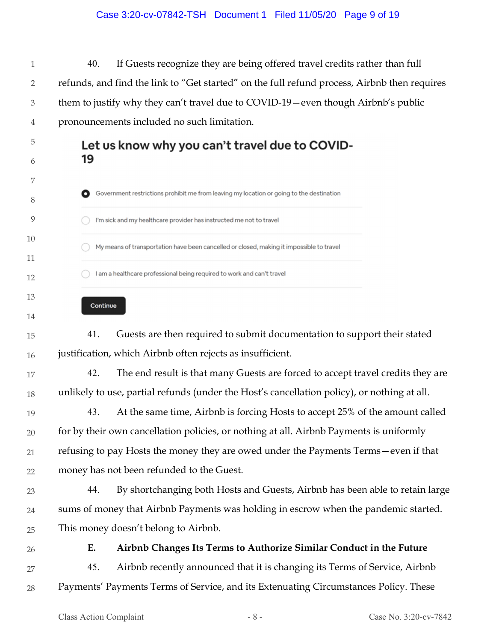#### Case 3:20-cv-07842-TSH Document 1 Filed 11/05/20 Page 9 of 19

1 2 3 4 40. If Guests recognize they are being offered travel credits rather than full refunds, and find the link to "Get started" on the full refund process, Airbnb then requires them to justify why they can't travel due to COVID-19—even though Airbnb's public pronouncements included no such limitation.

# Let us know why you can't travel due to COVID-19

- Government restrictions prohibit me from leaving my location or going to the destination I'm sick and my healthcare provider has instructed me not to travel My means of transportation have been cancelled or closed, making it impossible to travel I am a healthcare professional being required to work and can't travel
	- Continue

15 16 41. Guests are then required to submit documentation to support their stated justification, which Airbnb often rejects as insufficient.

- 17 18 42. The end result is that many Guests are forced to accept travel credits they are unlikely to use, partial refunds (under the Host's cancellation policy), or nothing at all.
- 19 20 21 22 43. At the same time, Airbnb is forcing Hosts to accept 25% of the amount called for by their own cancellation policies, or nothing at all. Airbnb Payments is uniformly refusing to pay Hosts the money they are owed under the Payments Terms—even if that money has not been refunded to the Guest.
- 23 24 25 44. By shortchanging both Hosts and Guests, Airbnb has been able to retain large sums of money that Airbnb Payments was holding in escrow when the pandemic started. This money doesn't belong to Airbnb.
- 26

5

6

7

8

9

10

11

12

13

14

# **E. Airbnb Changes Its Terms to Authorize Similar Conduct in the Future**

27 28 45. Airbnb recently announced that it is changing its Terms of Service, Airbnb Payments' Payments Terms of Service, and its Extenuating Circumstances Policy. These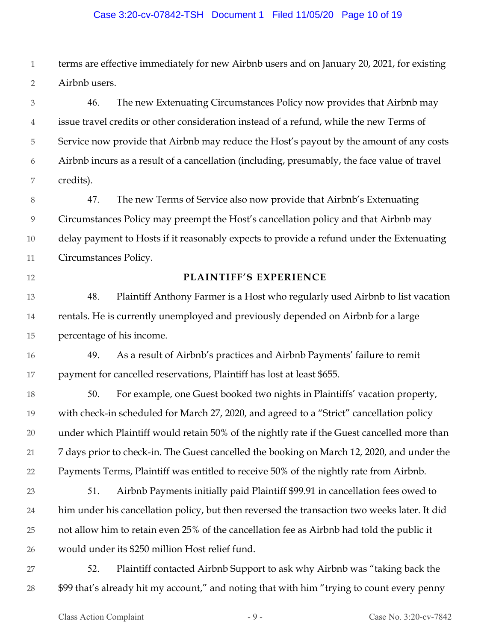#### Case 3:20-cv-07842-TSH Document 1 Filed 11/05/20 Page 10 of 19

1 2 terms are effective immediately for new Airbnb users and on January 20, 2021, for existing Airbnb users.

3 4 5 6 7 46. The new Extenuating Circumstances Policy now provides that Airbnb may issue travel credits or other consideration instead of a refund, while the new Terms of Service now provide that Airbnb may reduce the Host's payout by the amount of any costs Airbnb incurs as a result of a cancellation (including, presumably, the face value of travel credits).

8 9 10 11 47. The new Terms of Service also now provide that Airbnb's Extenuating Circumstances Policy may preempt the Host's cancellation policy and that Airbnb may delay payment to Hosts if it reasonably expects to provide a refund under the Extenuating Circumstances Policy.

12

#### **PLAINTIFF'S EXPERIENCE**

13 14 15 48. Plaintiff Anthony Farmer is a Host who regularly used Airbnb to list vacation rentals. He is currently unemployed and previously depended on Airbnb for a large percentage of his income.

16 17 49. As a result of Airbnb's practices and Airbnb Payments' failure to remit payment for cancelled reservations, Plaintiff has lost at least \$655.

18 19 20 21 22 50. For example, one Guest booked two nights in Plaintiffs' vacation property, with check-in scheduled for March 27, 2020, and agreed to a "Strict" cancellation policy under which Plaintiff would retain 50% of the nightly rate if the Guest cancelled more than 7 days prior to check-in. The Guest cancelled the booking on March 12, 2020, and under the Payments Terms, Plaintiff was entitled to receive 50% of the nightly rate from Airbnb.

- 23 24 25 26 51. Airbnb Payments initially paid Plaintiff \$99.91 in cancellation fees owed to him under his cancellation policy, but then reversed the transaction two weeks later. It did not allow him to retain even 25% of the cancellation fee as Airbnb had told the public it would under its \$250 million Host relief fund.
- 27 28 52. Plaintiff contacted Airbnb Support to ask why Airbnb was "taking back the \$99 that's already hit my account," and noting that with him "trying to count every penny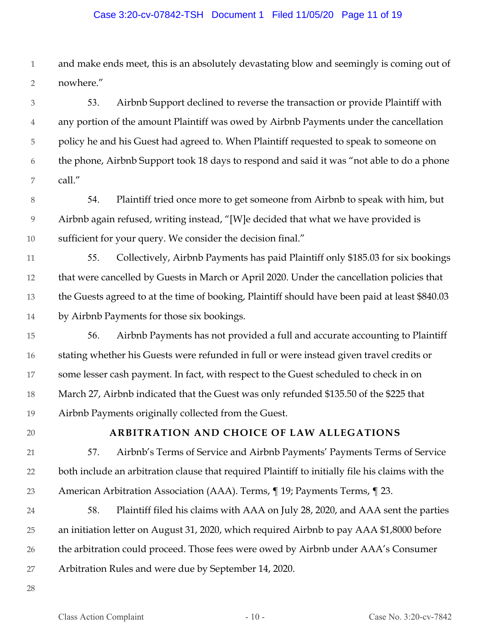#### Case 3:20-cv-07842-TSH Document 1 Filed 11/05/20 Page 11 of 19

1 2 and make ends meet, this is an absolutely devastating blow and seemingly is coming out of nowhere."

3 4 5 6 7 53. Airbnb Support declined to reverse the transaction or provide Plaintiff with any portion of the amount Plaintiff was owed by Airbnb Payments under the cancellation policy he and his Guest had agreed to. When Plaintiff requested to speak to someone on the phone, Airbnb Support took 18 days to respond and said it was "not able to do a phone call."

8 9 10 54. Plaintiff tried once more to get someone from Airbnb to speak with him, but Airbnb again refused, writing instead, "[W]e decided that what we have provided is sufficient for your query. We consider the decision final."

11 12 13 14 55. Collectively, Airbnb Payments has paid Plaintiff only \$185.03 for six bookings that were cancelled by Guests in March or April 2020. Under the cancellation policies that the Guests agreed to at the time of booking, Plaintiff should have been paid at least \$840.03 by Airbnb Payments for those six bookings.

- 15 16 17 18 19 56. Airbnb Payments has not provided a full and accurate accounting to Plaintiff stating whether his Guests were refunded in full or were instead given travel credits or some lesser cash payment. In fact, with respect to the Guest scheduled to check in on March 27, Airbnb indicated that the Guest was only refunded \$135.50 of the \$225 that Airbnb Payments originally collected from the Guest.
- 20

# **ARBITRATION AND CHOICE OF LAW ALLEGATIONS**

- 21 22 23 57. Airbnb's Terms of Service and Airbnb Payments' Payments Terms of Service both include an arbitration clause that required Plaintiff to initially file his claims with the American Arbitration Association (AAA). Terms, ¶ 19; Payments Terms, ¶ 23.
- 24 25 26 27 58. Plaintiff filed his claims with AAA on July 28, 2020, and AAA sent the parties an initiation letter on August 31, 2020, which required Airbnb to pay AAA \$1,8000 before the arbitration could proceed. Those fees were owed by Airbnb under AAA's Consumer Arbitration Rules and were due by September 14, 2020.
- 28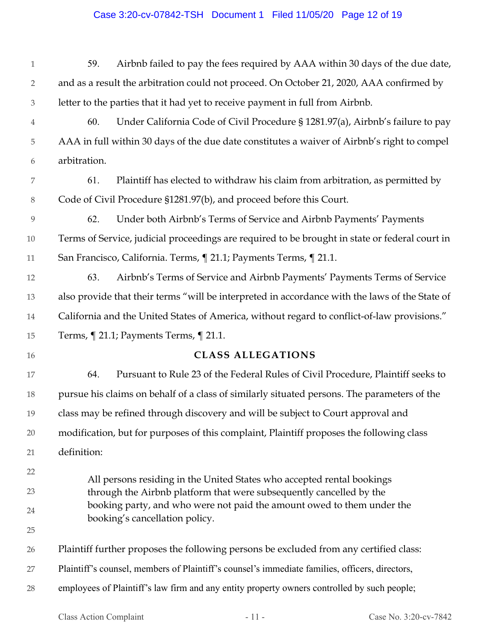# Case 3:20-cv-07842-TSH Document 1 Filed 11/05/20 Page 12 of 19

| $\mathbf{1}$   | 59.          | Airbnb failed to pay the fees required by AAA within 30 days of the due date,                                                                 |
|----------------|--------------|-----------------------------------------------------------------------------------------------------------------------------------------------|
| $\overline{2}$ |              | and as a result the arbitration could not proceed. On October 21, 2020, AAA confirmed by                                                      |
| $\mathfrak 3$  |              | letter to the parties that it had yet to receive payment in full from Airbnb.                                                                 |
| $\overline{4}$ | 60.          | Under California Code of Civil Procedure § 1281.97(a), Airbnb's failure to pay                                                                |
| 5              |              | AAA in full within 30 days of the due date constitutes a waiver of Airbnb's right to compel                                                   |
| 6              | arbitration. |                                                                                                                                               |
| 7              | 61.          | Plaintiff has elected to withdraw his claim from arbitration, as permitted by                                                                 |
| $8\,$          |              | Code of Civil Procedure §1281.97(b), and proceed before this Court.                                                                           |
| 9              | 62.          | Under both Airbnb's Terms of Service and Airbnb Payments' Payments                                                                            |
| 10             |              | Terms of Service, judicial proceedings are required to be brought in state or federal court in                                                |
| 11             |              | San Francisco, California. Terms, ¶ 21.1; Payments Terms, ¶ 21.1.                                                                             |
| 12             | 63.          | Airbnb's Terms of Service and Airbnb Payments' Payments Terms of Service                                                                      |
| 13             |              | also provide that their terms "will be interpreted in accordance with the laws of the State of                                                |
| 14             |              | California and the United States of America, without regard to conflict-of-law provisions."                                                   |
| 15             |              | Terms, ¶ 21.1; Payments Terms, ¶ 21.1.                                                                                                        |
| 16             |              | <b>CLASS ALLEGATIONS</b>                                                                                                                      |
| 17             | 64.          | Pursuant to Rule 23 of the Federal Rules of Civil Procedure, Plaintiff seeks to                                                               |
|                |              |                                                                                                                                               |
| 18             |              | pursue his claims on behalf of a class of similarly situated persons. The parameters of the                                                   |
| 19             |              | class may be refined through discovery and will be subject to Court approval and                                                              |
| 20             |              | modification, but for purposes of this complaint, Plaintiff proposes the following class                                                      |
| 21             | definition:  |                                                                                                                                               |
| 22             |              |                                                                                                                                               |
| 23             |              | All persons residing in the United States who accepted rental bookings<br>through the Airbnb platform that were subsequently cancelled by the |
| 24             |              | booking party, and who were not paid the amount owed to them under the                                                                        |
| 25             |              | booking's cancellation policy.                                                                                                                |
| 26             |              | Plaintiff further proposes the following persons be excluded from any certified class:                                                        |
| 27             |              | Plaintiff's counsel, members of Plaintiff's counsel's immediate families, officers, directors,                                                |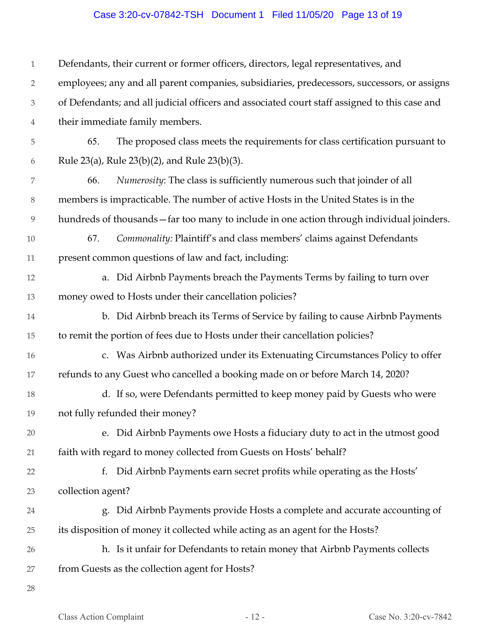# Case 3:20-cv-07842-TSH Document 1 Filed 11/05/20 Page 13 of 19

| $\mathbf{1}$   | Defendants, their current or former officers, directors, legal representatives, and           |
|----------------|-----------------------------------------------------------------------------------------------|
| $\overline{2}$ | employees; any and all parent companies, subsidiaries, predecessors, successors, or assigns   |
| 3              | of Defendants; and all judicial officers and associated court staff assigned to this case and |
| 4              | their immediate family members.                                                               |
| 5              | The proposed class meets the requirements for class certification pursuant to<br>65.          |
| 6              | Rule 23(a), Rule 23(b)(2), and Rule 23(b)(3).                                                 |
| 7              | Numerosity: The class is sufficiently numerous such that joinder of all<br>66.                |
| $8\,$          | members is impracticable. The number of active Hosts in the United States is in the           |
| $\overline{9}$ | hundreds of thousands - far too many to include in one action through individual joinders.    |
| $10\,$         | Commonality: Plaintiff's and class members' claims against Defendants<br>67.                  |
| 11             | present common questions of law and fact, including:                                          |
| 12             | a. Did Airbnb Payments breach the Payments Terms by failing to turn over                      |
| $13\,$         | money owed to Hosts under their cancellation policies?                                        |
| 14             | b. Did Airbnb breach its Terms of Service by failing to cause Airbnb Payments                 |
| 15             | to remit the portion of fees due to Hosts under their cancellation policies?                  |
| 16             | c. Was Airbnb authorized under its Extenuating Circumstances Policy to offer                  |
| 17             | refunds to any Guest who cancelled a booking made on or before March 14, 2020?                |
| 18             | d. If so, were Defendants permitted to keep money paid by Guests who were                     |
| 19             | not fully refunded their money?                                                               |
| 20             | e. Did Airbnb Payments owe Hosts a fiduciary duty to act in the utmost good                   |
| 21             | faith with regard to money collected from Guests on Hosts' behalf?                            |
| 22             | Did Airbnb Payments earn secret profits while operating as the Hosts'<br>f.                   |
| 23             | collection agent?                                                                             |
| 24             | g. Did Airbnb Payments provide Hosts a complete and accurate accounting of                    |
| 25             | its disposition of money it collected while acting as an agent for the Hosts?                 |
| 26             | h. Is it unfair for Defendants to retain money that Airbnb Payments collects                  |
| 27             | from Guests as the collection agent for Hosts?                                                |
| 28             |                                                                                               |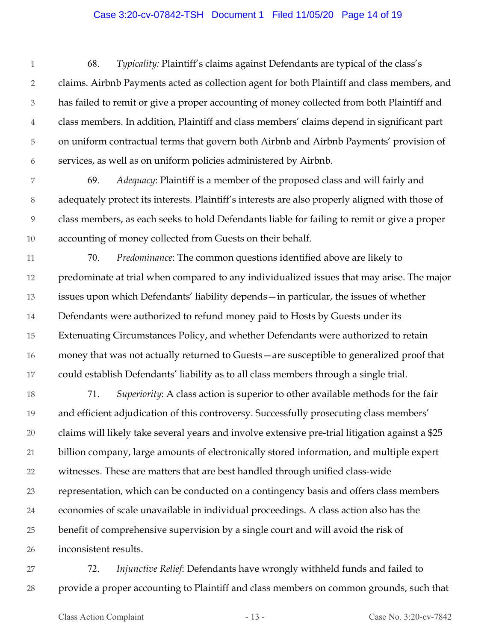#### Case 3:20-cv-07842-TSH Document 1 Filed 11/05/20 Page 14 of 19

1 2 3 4 5 6 68. *Typicality:* Plaintiff's claims against Defendants are typical of the class's claims. Airbnb Payments acted as collection agent for both Plaintiff and class members, and has failed to remit or give a proper accounting of money collected from both Plaintiff and class members. In addition, Plaintiff and class members' claims depend in significant part on uniform contractual terms that govern both Airbnb and Airbnb Payments' provision of services, as well as on uniform policies administered by Airbnb.

7 8 9 10 69. *Adequacy*: Plaintiff is a member of the proposed class and will fairly and adequately protect its interests. Plaintiff's interests are also properly aligned with those of class members, as each seeks to hold Defendants liable for failing to remit or give a proper accounting of money collected from Guests on their behalf.

11 12 13 14 15 16 17 70. *Predominance*: The common questions identified above are likely to predominate at trial when compared to any individualized issues that may arise. The major issues upon which Defendants' liability depends—in particular, the issues of whether Defendants were authorized to refund money paid to Hosts by Guests under its Extenuating Circumstances Policy, and whether Defendants were authorized to retain money that was not actually returned to Guests—are susceptible to generalized proof that could establish Defendants' liability as to all class members through a single trial.

18 19 20 21 22 23 24 25 26 71. *Superiority*: A class action is superior to other available methods for the fair and efficient adjudication of this controversy. Successfully prosecuting class members' claims will likely take several years and involve extensive pre-trial litigation against a \$25 billion company, large amounts of electronically stored information, and multiple expert witnesses. These are matters that are best handled through unified class-wide representation, which can be conducted on a contingency basis and offers class members economies of scale unavailable in individual proceedings. A class action also has the benefit of comprehensive supervision by a single court and will avoid the risk of inconsistent results.

27 28 72. *Injunctive Relief*: Defendants have wrongly withheld funds and failed to provide a proper accounting to Plaintiff and class members on common grounds, such that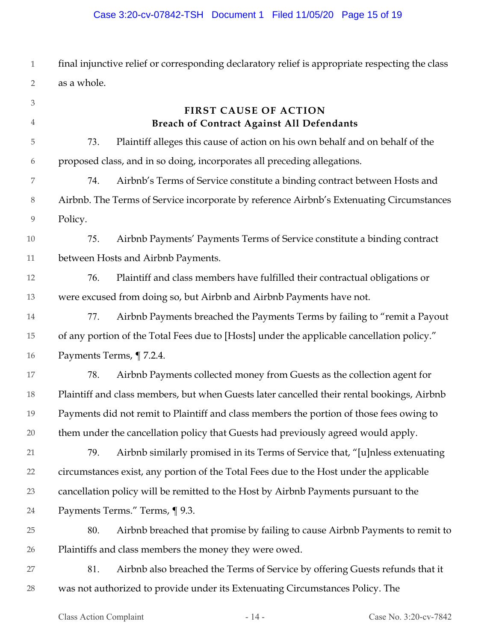# Case 3:20-cv-07842-TSH Document 1 Filed 11/05/20 Page 15 of 19

1 2 final injunctive relief or corresponding declaratory relief is appropriate respecting the class as a whole.

| $\ensuremath{\mathfrak{Z}}$ |         | <b>FIRST CAUSE OF ACTION</b>                                                               |
|-----------------------------|---------|--------------------------------------------------------------------------------------------|
| $\overline{4}$              |         | <b>Breach of Contract Against All Defendants</b>                                           |
| 5                           | 73.     | Plaintiff alleges this cause of action on his own behalf and on behalf of the              |
| 6                           |         | proposed class, and in so doing, incorporates all preceding allegations.                   |
| $\overline{7}$              | 74.     | Airbnb's Terms of Service constitute a binding contract between Hosts and                  |
| $8\,$                       |         | Airbnb. The Terms of Service incorporate by reference Airbnb's Extenuating Circumstances   |
| $\overline{9}$              | Policy. |                                                                                            |
| 10                          | 75.     | Airbnb Payments' Payments Terms of Service constitute a binding contract                   |
| 11                          |         | between Hosts and Airbnb Payments.                                                         |
| 12                          | 76.     | Plaintiff and class members have fulfilled their contractual obligations or                |
| 13                          |         | were excused from doing so, but Airbnb and Airbnb Payments have not.                       |
| 14                          | 77.     | Airbnb Payments breached the Payments Terms by failing to "remit a Payout                  |
| 15                          |         | of any portion of the Total Fees due to [Hosts] under the applicable cancellation policy." |
| 16                          |         | Payments Terms, ¶7.2.4.                                                                    |
| 17                          | 78.     | Airbnb Payments collected money from Guests as the collection agent for                    |
| 18                          |         | Plaintiff and class members, but when Guests later cancelled their rental bookings, Airbnb |
| 19                          |         | Payments did not remit to Plaintiff and class members the portion of those fees owing to   |
| 20                          |         | them under the cancellation policy that Guests had previously agreed would apply.          |
| 21                          | 79.     | Airbnb similarly promised in its Terms of Service that, "[u]nless extenuating              |
| 22                          |         | circumstances exist, any portion of the Total Fees due to the Host under the applicable    |
| 23                          |         | cancellation policy will be remitted to the Host by Airbnb Payments pursuant to the        |
| 24                          |         | Payments Terms." Terms, ¶ 9.3.                                                             |
| 25                          | 80.     | Airbnb breached that promise by failing to cause Airbnb Payments to remit to               |
| 26                          |         | Plaintiffs and class members the money they were owed.                                     |
| 27                          | 81.     | Airbnb also breached the Terms of Service by offering Guests refunds that it               |
| 28                          |         | was not authorized to provide under its Extenuating Circumstances Policy. The              |
|                             |         |                                                                                            |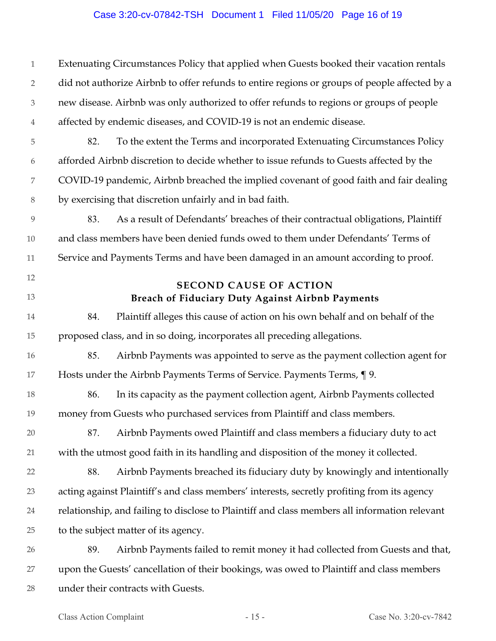#### Case 3:20-cv-07842-TSH Document 1 Filed 11/05/20 Page 16 of 19

1 2 3 4 5 6 7 8 9 10 11 12 13 14 15 16 17 18 19 20 21 22 23 24 25 26 27 28 Extenuating Circumstances Policy that applied when Guests booked their vacation rentals did not authorize Airbnb to offer refunds to entire regions or groups of people affected by a new disease. Airbnb was only authorized to offer refunds to regions or groups of people affected by endemic diseases, and COVID-19 is not an endemic disease. 82. To the extent the Terms and incorporated Extenuating Circumstances Policy afforded Airbnb discretion to decide whether to issue refunds to Guests affected by the COVID-19 pandemic, Airbnb breached the implied covenant of good faith and fair dealing by exercising that discretion unfairly and in bad faith. 83. As a result of Defendants' breaches of their contractual obligations, Plaintiff and class members have been denied funds owed to them under Defendants' Terms of Service and Payments Terms and have been damaged in an amount according to proof. **SECOND CAUSE OF ACTION Breach of Fiduciary Duty Against Airbnb Payments**  84. Plaintiff alleges this cause of action on his own behalf and on behalf of the proposed class, and in so doing, incorporates all preceding allegations. 85. Airbnb Payments was appointed to serve as the payment collection agent for Hosts under the Airbnb Payments Terms of Service. Payments Terms, ¶ 9. 86. In its capacity as the payment collection agent, Airbnb Payments collected money from Guests who purchased services from Plaintiff and class members. 87. Airbnb Payments owed Plaintiff and class members a fiduciary duty to act with the utmost good faith in its handling and disposition of the money it collected. 88. Airbnb Payments breached its fiduciary duty by knowingly and intentionally acting against Plaintiff's and class members' interests, secretly profiting from its agency relationship, and failing to disclose to Plaintiff and class members all information relevant to the subject matter of its agency. 89. Airbnb Payments failed to remit money it had collected from Guests and that, upon the Guests' cancellation of their bookings, was owed to Plaintiff and class members under their contracts with Guests.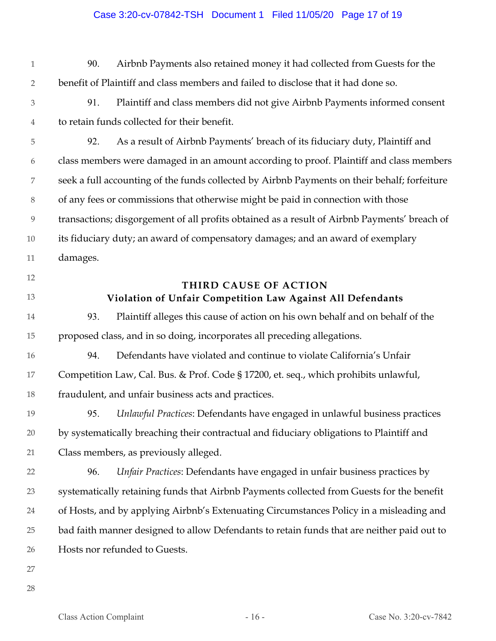#### Case 3:20-cv-07842-TSH Document 1 Filed 11/05/20 Page 17 of 19

- 1 2 90. Airbnb Payments also retained money it had collected from Guests for the benefit of Plaintiff and class members and failed to disclose that it had done so.
- 3 4 91. Plaintiff and class members did not give Airbnb Payments informed consent to retain funds collected for their benefit.

5 6 7 8 9 10 11 92. As a result of Airbnb Payments' breach of its fiduciary duty, Plaintiff and class members were damaged in an amount according to proof. Plaintiff and class members seek a full accounting of the funds collected by Airbnb Payments on their behalf; forfeiture of any fees or commissions that otherwise might be paid in connection with those transactions; disgorgement of all profits obtained as a result of Airbnb Payments' breach of its fiduciary duty; an award of compensatory damages; and an award of exemplary damages.

- 12
- 13

# **THIRD CAUSE OF ACTION Violation of Unfair Competition Law Against All Defendants**

14 15 93. Plaintiff alleges this cause of action on his own behalf and on behalf of the proposed class, and in so doing, incorporates all preceding allegations.

16 17 18 94. Defendants have violated and continue to violate California's Unfair Competition Law, Cal. Bus. & Prof. Code § 17200, et. seq., which prohibits unlawful, fraudulent, and unfair business acts and practices.

19 20 21 95. *Unlawful Practices*: Defendants have engaged in unlawful business practices by systematically breaching their contractual and fiduciary obligations to Plaintiff and Class members, as previously alleged.

22 23 24 25 26 96. *Unfair Practices*: Defendants have engaged in unfair business practices by systematically retaining funds that Airbnb Payments collected from Guests for the benefit of Hosts, and by applying Airbnb's Extenuating Circumstances Policy in a misleading and bad faith manner designed to allow Defendants to retain funds that are neither paid out to Hosts nor refunded to Guests.

- 27
- 28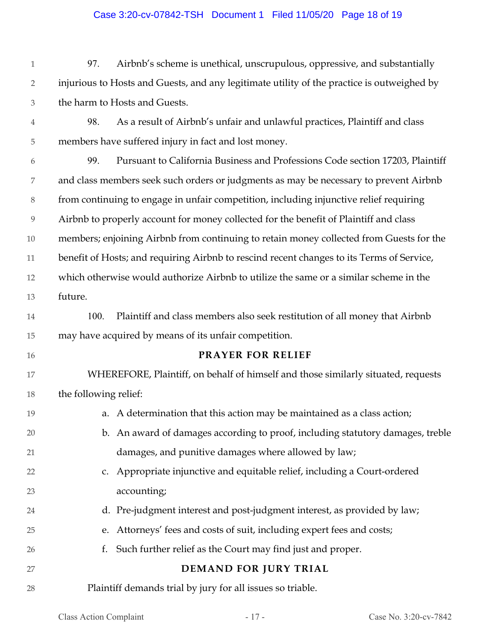#### Case 3:20-cv-07842-TSH Document 1 Filed 11/05/20 Page 18 of 19

1 2 3 97. Airbnb's scheme is unethical, unscrupulous, oppressive, and substantially injurious to Hosts and Guests, and any legitimate utility of the practice is outweighed by the harm to Hosts and Guests.

4

5 98. As a result of Airbnb's unfair and unlawful practices, Plaintiff and class members have suffered injury in fact and lost money.

6 7 8 9 10 11 12 13 99. Pursuant to California Business and Professions Code section 17203, Plaintiff and class members seek such orders or judgments as may be necessary to prevent Airbnb from continuing to engage in unfair competition, including injunctive relief requiring Airbnb to properly account for money collected for the benefit of Plaintiff and class members; enjoining Airbnb from continuing to retain money collected from Guests for the benefit of Hosts; and requiring Airbnb to rescind recent changes to its Terms of Service, which otherwise would authorize Airbnb to utilize the same or a similar scheme in the future.

14 15 100. Plaintiff and class members also seek restitution of all money that Airbnb may have acquired by means of its unfair competition.

16

24

25

26

27

#### **PRAYER FOR RELIEF**

17 18 WHEREFORE, Plaintiff, on behalf of himself and those similarly situated, requests the following relief:

- 19 20 21 22 a. A determination that this action may be maintained as a class action; b. An award of damages according to proof, including statutory damages, treble damages, and punitive damages where allowed by law; c. Appropriate injunctive and equitable relief, including a Court-ordered
- 23 accounting;
	- d. Pre-judgment interest and post-judgment interest, as provided by law;
	- e. Attorneys' fees and costs of suit, including expert fees and costs;
	- f. Such further relief as the Court may find just and proper.

# **DEMAND FOR JURY TRIAL**

28 Plaintiff demands trial by jury for all issues so triable.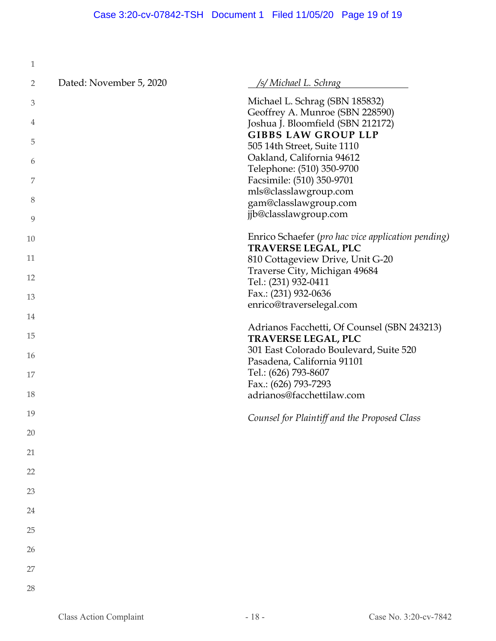| 1  |                         |                                                                                  |
|----|-------------------------|----------------------------------------------------------------------------------|
| 2  | Dated: November 5, 2020 | /s/ Michael L. Schrag                                                            |
| 3  |                         | Michael L. Schrag (SBN 185832)<br>Geoffrey A. Munroe (SBN 228590)                |
| 4  |                         | Joshua J. Bloomfield (SBN 212172)                                                |
| 5  |                         | <b>GIBBS LAW GROUP LLP</b><br>505 14th Street, Suite 1110                        |
| 6  |                         | Oakland, California 94612                                                        |
| 7  |                         | Telephone: (510) 350-9700<br>Facsimile: (510) 350-9701                           |
| 8  |                         | mls@classlawgroup.com<br>gam@classlawgroup.com                                   |
| 9  |                         | jjb@classlawgroup.com                                                            |
| 10 |                         | Enrico Schaefer (pro hac vice application pending)<br><b>TRAVERSE LEGAL, PLC</b> |
| 11 |                         | 810 Cottageview Drive, Unit G-20                                                 |
| 12 |                         | Traverse City, Michigan 49684<br>Tel.: (231) 932-0411                            |
| 13 |                         | Fax.: (231) 932-0636                                                             |
| 14 |                         | enrico@traverselegal.com                                                         |
| 15 |                         | Adrianos Facchetti, Of Counsel (SBN 243213)<br><b>TRAVERSE LEGAL, PLC</b>        |
| 16 |                         | 301 East Colorado Boulevard, Suite 520<br>Pasadena, California 91101             |
| 17 |                         | Tel.: (626) 793-8607                                                             |
|    |                         | Fax.: (626) 793-7293                                                             |
| 18 |                         | adrianos@facchettilaw.com                                                        |
| 19 |                         | Counsel for Plaintiff and the Proposed Class                                     |
| 20 |                         |                                                                                  |
| 21 |                         |                                                                                  |
| 22 |                         |                                                                                  |
| 23 |                         |                                                                                  |
| 24 |                         |                                                                                  |
| 25 |                         |                                                                                  |
| 26 |                         |                                                                                  |
| 27 |                         |                                                                                  |
| 28 |                         |                                                                                  |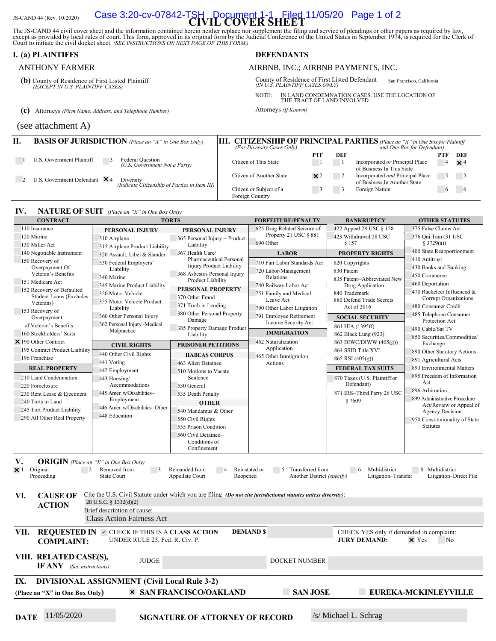# JS-CAND 44 (Rev. 10/2020) **CIVIL COVER SHEET** Case 3:20-cv-07842-TSH Document 1-1 Filed 11/05/20 Page 1 of 2

The JS-CAND 44 civil cover sheet and the information contained herein neither replace nor supplement the filing and service of pleadings or other papers as required by law, except as provided by local rules of court. This

|                                                                                       | <b>I.</b> (a) PLAINTIFFS                                                                           |    |                                                                                                              | <b>DEFENDANTS</b>           |            |            |                                                                                                              |               |                          |
|---------------------------------------------------------------------------------------|----------------------------------------------------------------------------------------------------|----|--------------------------------------------------------------------------------------------------------------|-----------------------------|------------|------------|--------------------------------------------------------------------------------------------------------------|---------------|--------------------------|
|                                                                                       | <b>ANTHONY FARMER</b>                                                                              |    | AIRBNB, INC.; AIRBNB PAYMENTS, INC.                                                                          |                             |            |            |                                                                                                              |               |                          |
| (b) County of Residence of First Listed Plaintiff<br>(EXCEPT IN U.S. PLAINTIFF CASES) |                                                                                                    |    | County of Residence of First Listed Defendant<br>San Francisco, California<br>(IN U.S. PLAINTIFF CASES ONLY) |                             |            |            |                                                                                                              |               |                          |
|                                                                                       |                                                                                                    |    | NOTE:                                                                                                        | THE TRACT OF LAND INVOLVED. |            |            | IN LAND CONDEMNATION CASES, USE THE LOCATION OF                                                              |               |                          |
| Attorneys (Firm Name, Address, and Telephone Number)<br>(c)                           |                                                                                                    |    |                                                                                                              | Attorneys (If Known)        |            |            |                                                                                                              |               |                          |
|                                                                                       | (see attachment A)                                                                                 |    |                                                                                                              |                             |            |            |                                                                                                              |               |                          |
| П.                                                                                    | <b>BASIS OF JURISDICTION</b> (Place an "X" in One Box Only)                                        | Ш. | (For Diversity Cases Only)                                                                                   |                             |            |            | <b>CITIZENSHIP OF PRINCIPAL PARTIES</b> (Place an "X" in One Box for Plaintiff<br>and One Box for Defendant) |               |                          |
|                                                                                       |                                                                                                    |    |                                                                                                              |                             | <b>PTF</b> | <b>DEF</b> |                                                                                                              | PTF           | DEF                      |
|                                                                                       | U.S. Government Plaintiff<br>Federal Question<br>(U.S. Government Not a Party)                     |    | Citizen of This State                                                                                        |                             |            |            | Incorporated or Principal Place<br>of Business In This State                                                 | 4             | $\times$ 4               |
|                                                                                       | U.S. Government Defendant $\times$ 4<br>Diversity<br>(Indicate Citizenship of Parties in Item III) |    | Citizen of Another State                                                                                     |                             | $\times 2$ |            | Incorporated and Principal Place<br>of Business In Another State                                             | $\mathcal{L}$ | $\overline{\phantom{a}}$ |
|                                                                                       |                                                                                                    |    | Citizen or Subject of a<br>Foreign Country                                                                   |                             |            |            | Foreign Nation                                                                                               | $\mathbf{6}$  |                          |

#### **IV. NATURE OF SUIT** *(Place an "X" in One Box Only)*

| <b>CONTRACT</b>                                                                                              | <b>TORTS</b>                                                                                                   |                                              | <b>FORFEITURE/PENALTY</b>                                                        | <b>BANKRUPTCY</b>                                               | <b>OTHER STATUTES</b>                     |  |  |
|--------------------------------------------------------------------------------------------------------------|----------------------------------------------------------------------------------------------------------------|----------------------------------------------|----------------------------------------------------------------------------------|-----------------------------------------------------------------|-------------------------------------------|--|--|
| 110 Insurance                                                                                                | PERSONAL INJURY                                                                                                | PERSONAL INJURY                              | 625 Drug Related Seizure of                                                      | 422 Appeal 28 USC § 158                                         | 375 False Claims Act                      |  |  |
| 120 Marine<br>310 Airplane                                                                                   |                                                                                                                | 365 Personal Injury - Product                | Property 21 USC § 881                                                            | 423 Withdrawal 28 USC                                           | 376 Qui Tam (31 USC                       |  |  |
| 130 Miller Act                                                                                               | 315 Airplane Product Liability                                                                                 | Liability                                    | 690 Other                                                                        | § 157                                                           | § 3729(a))                                |  |  |
| 140 Negotiable Instrument                                                                                    | 320 Assault, Libel & Slander                                                                                   | 367 Health Care/                             | <b>LABOR</b>                                                                     | <b>PROPERTY RIGHTS</b>                                          | 400 State Reapportionment                 |  |  |
| 150 Recovery of                                                                                              | 330 Federal Employers'                                                                                         | Pharmaceutical Personal                      | 710 Fair Labor Standards Act                                                     | 820 Copyrights                                                  | 410 Antitrust                             |  |  |
| Overpayment Of                                                                                               | Liability                                                                                                      | <b>Injury Product Liability</b>              | 720 Labor/Management                                                             | 830 Patent                                                      | 430 Banks and Banking                     |  |  |
| Veteran's Benefits                                                                                           | 340 Marine                                                                                                     | 368 Asbestos Personal Injury                 | Relations                                                                        | 835 Patent-Abbreviated New                                      | 450 Commerce                              |  |  |
| 151 Medicare Act                                                                                             | 345 Marine Product Liability                                                                                   | Product Liability                            | 740 Railway Labor Act                                                            | Drug Application                                                | 460 Deportation                           |  |  |
| 152 Recovery of Defaulted                                                                                    | 350 Motor Vehicle                                                                                              | PERSONAL PROPERTY                            | 751 Family and Medical                                                           | 840 Trademark                                                   | 470 Racketeer Influenced &                |  |  |
| <b>Student Loans (Excludes</b><br>Veterans)                                                                  | 355 Motor Vehicle Product                                                                                      | 370 Other Fraud                              | Leave Act                                                                        | 880 Defend Trade Secrets                                        | Corrupt Organizations                     |  |  |
|                                                                                                              | Liability                                                                                                      | 371 Truth in Lending                         | 790 Other Labor Litigation                                                       | Act of 2016                                                     | 480 Consumer Credit                       |  |  |
| 153 Recovery of<br>Overpayment                                                                               | 360 Other Personal Injury                                                                                      | 380 Other Personal Property                  | 791 Employee Retirement                                                          | <b>SOCIAL SECURITY</b>                                          | 485 Telephone Consumer                    |  |  |
| of Veteran's Benefits                                                                                        | 362 Personal Injury -Medical                                                                                   | Damage                                       | Income Security Act                                                              | 861 HIA (1395ff)                                                | Protection Act                            |  |  |
| 160 Stockholders' Suits                                                                                      | Malpractice                                                                                                    | 385 Property Damage Product<br>Liability     | <b>IMMIGRATION</b>                                                               | 862 Black Lung (923)                                            | 490 Cable/Sat TV                          |  |  |
| $\times$ 190 Other Contract                                                                                  |                                                                                                                |                                              | 462 Naturalization                                                               | 863 DIWC/DIWW (405(g))                                          | 850 Securities/Commodities/               |  |  |
| 195 Contract Product Liability                                                                               | <b>CIVIL RIGHTS</b>                                                                                            | PRISONER PETITIONS                           | Application                                                                      | 864 SSID Title XVI                                              | Exchange                                  |  |  |
| 196 Franchise                                                                                                | 440 Other Civil Rights                                                                                         | <b>HABEAS CORPUS</b>                         | 465 Other Immigration                                                            | 865 RSI (405(g))                                                | 890 Other Statutory Actions               |  |  |
|                                                                                                              | 441 Voting                                                                                                     | 463 Alien Detainee                           | Actions                                                                          |                                                                 | 891 Agricultural Acts                     |  |  |
| <b>REAL PROPERTY</b>                                                                                         | 442 Employment                                                                                                 | 510 Motions to Vacate                        |                                                                                  | <b>FEDERAL TAX SUITS</b>                                        | 893 Environmental Matters                 |  |  |
| 210 Land Condemnation                                                                                        | 443 Housing/                                                                                                   | Sentence                                     |                                                                                  | 870 Taxes (U.S. Plaintiff or                                    | 895 Freedom of Information<br>Act         |  |  |
| 220 Foreclosure                                                                                              | Accommodations                                                                                                 | 530 General                                  |                                                                                  | Defendant)                                                      | 896 Arbitration                           |  |  |
| 230 Rent Lease & Ejectment                                                                                   | 445 Amer. w/Disabilities-                                                                                      | 535 Death Penalty                            |                                                                                  | 871 IRS-Third Party 26 USC                                      | 899 Administrative Procedure              |  |  |
| 240 Torts to Land                                                                                            | Employment                                                                                                     | <b>OTHER</b>                                 |                                                                                  | §7609                                                           | Act/Review or Appeal of                   |  |  |
| 245 Tort Product Liability                                                                                   | 446 Amer. w/Disabilities-Other                                                                                 | 540 Mandamus & Other                         |                                                                                  |                                                                 | <b>Agency Decision</b>                    |  |  |
| 290 All Other Real Property                                                                                  | 448 Education                                                                                                  | 550 Civil Rights                             |                                                                                  |                                                                 | 950 Constitutionality of State            |  |  |
|                                                                                                              |                                                                                                                | 555 Prison Condition                         |                                                                                  |                                                                 | <b>Statutes</b>                           |  |  |
|                                                                                                              |                                                                                                                | 560 Civil Detainee-                          |                                                                                  |                                                                 |                                           |  |  |
|                                                                                                              |                                                                                                                | Conditions of                                |                                                                                  |                                                                 |                                           |  |  |
|                                                                                                              |                                                                                                                | Confinement                                  |                                                                                  |                                                                 |                                           |  |  |
| V.<br><b>ORIGIN</b> (Place an "X" in One Box Only)<br>Original<br>$\overline{2}$<br>$\times$ 1<br>Proceeding | Removed from<br>$\overline{\phantom{a}}$<br><b>State Court</b>                                                 | Remanded from<br>Appellate Court<br>Reopened | Reinstated or<br>$\mathcal{F}$<br>Transferred from<br>Another District (specify) | Multidistrict<br>$6\phantom{0}6$<br>Litigation-Transfer         | 8 Multidistrict<br>Litigation-Direct File |  |  |
| VI.<br><b>CAUSE OF</b>                                                                                       | Cite the U.S. Civil Statute under which you are filing (Do not cite jurisdictional statutes unless diversity): |                                              |                                                                                  |                                                                 |                                           |  |  |
| <b>ACTION</b>                                                                                                | 28 U.S.C. § 1332(d)(2)                                                                                         |                                              |                                                                                  |                                                                 |                                           |  |  |
|                                                                                                              | Brief description of cause:                                                                                    |                                              |                                                                                  |                                                                 |                                           |  |  |
|                                                                                                              | <b>Class Action Fairness Act</b>                                                                               |                                              |                                                                                  |                                                                 |                                           |  |  |
| VII.<br><b>COMPLAINT:</b>                                                                                    | <b>REQUESTED IN V CHECK IF THIS IS A CLASS ACTION</b><br>UNDER RULE 23, Fed. R. Civ. P.                        |                                              | <b>DEMAND \$</b>                                                                 | CHECK YES only if demanded in complaint:<br><b>JURY DEMAND:</b> | $\times$ Yes<br>N <sub>o</sub>            |  |  |
| VIII. RELATED CASE(S),<br><b>IF ANY</b> (See instructions):                                                  | <b>JUDGE</b>                                                                                                   |                                              | <b>DOCKET NUMBER</b>                                                             |                                                                 |                                           |  |  |
| IX.                                                                                                          | <b>DIVISIONAL ASSIGNMENT (Civil Local Rule 3-2)</b>                                                            |                                              |                                                                                  |                                                                 |                                           |  |  |
| (Place an "X" in One Box Only)                                                                               |                                                                                                                | <b>× SAN FRANCISCO/OAKLAND</b>               | <b>SAN JOSE</b>                                                                  |                                                                 | EUREKA-MCKINLEYVILLE                      |  |  |
|                                                                                                              |                                                                                                                |                                              |                                                                                  |                                                                 |                                           |  |  |
|                                                                                                              |                                                                                                                |                                              |                                                                                  |                                                                 |                                           |  |  |
| 11/05/2020<br><b>DATE</b>                                                                                    |                                                                                                                | <b>SIGNATURE OF ATTORNEY OF RECORD</b>       |                                                                                  | /s/ Michael L. Schrag                                           |                                           |  |  |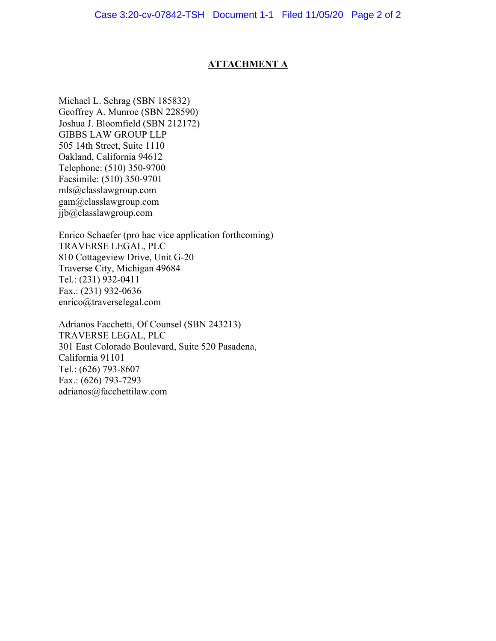## **ATTACHMENT A**

Michael L. Schrag (SBN 185832) Geoffrey A. Munroe (SBN 228590) Joshua J. Bloomfield (SBN 212172) GIBBS LAW GROUP LLP 505 14th Street, Suite 1110 Oakland, California 94612 Telephone: (510) 350-9700 Facsimile: (510) 350-9701 mls@classlawgroup.com gam@classlawgroup.com jjb@classlawgroup.com

Enrico Schaefer (pro hac vice application forthcoming) TRAVERSE LEGAL, PLC 810 Cottageview Drive, Unit G-20 Traverse City, Michigan 49684 Tel.: (231) 932-0411 Fax.: (231) 932-0636 enrico@traverselegal.com

Adrianos Facchetti, Of Counsel (SBN 243213) TRAVERSE LEGAL, PLC 301 East Colorado Boulevard, Suite 520 Pasadena, California 91101 Tel.: (626) 793-8607 Fax.: (626) 793-7293 adrianos@facchettilaw.com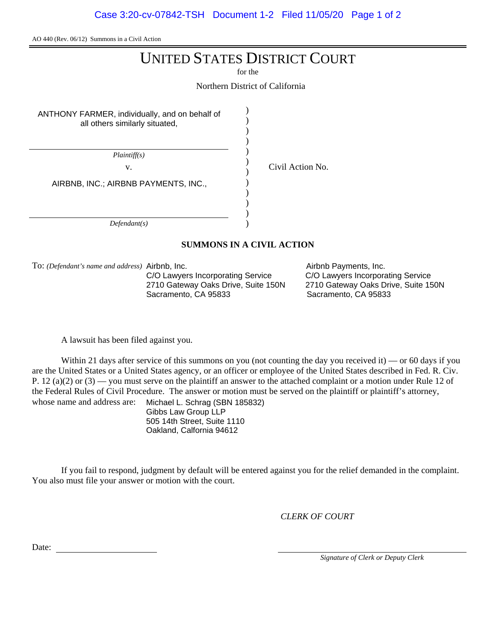AO 440 (Rev. 06/12) Summons in a Civil Action

# UNITED STATES DISTRICT COURT

for the

) ) ) ) ) ) ) ) ) ) ) )

Northern District of California

ANTHONY FARMER, individually, and on behalf of all others similarly situated,

*Plaintiff(s)*

v. Civil Action No.

AIRBNB, INC.; AIRBNB PAYMENTS, INC.,

*Defendant(s)*

#### **SUMMONS IN A CIVIL ACTION**

To: *(Defendant's name and address)*

C/O Lawyers Incorporating Service C/O Lawyers Incorporating Service<br>2710 Gateway Oaks Drive, Suite 150N 2710 Gateway Oaks Drive, Suite 15 Sacramento, CA 95833

Airbnb Payments, Inc. 2710 Gateway Oaks Drive, Suite 150N<br>Sacramento, CA 95833

A lawsuit has been filed against you.

Within 21 days after service of this summons on you (not counting the day you received it) — or 60 days if you are the United States or a United States agency, or an officer or employee of the United States described in Fed. R. Civ. P. 12 (a)(2) or  $(3)$  — you must serve on the plaintiff an answer to the attached complaint or a motion under Rule 12 of the Federal Rules of Civil Procedure. The answer or motion must be served on the plaintiff or plaintiff's attorney, whose name and address are: Michael L. Schrag (SBN 185832)

Gibbs Law Group LLP 505 14th Street, Suite 1110 Oakland, Calfornia 94612

If you fail to respond, judgment by default will be entered against you for the relief demanded in the complaint. You also must file your answer or motion with the court.

*CLERK OF COURT*

Date:

*Signature of Clerk or Deputy Clerk*